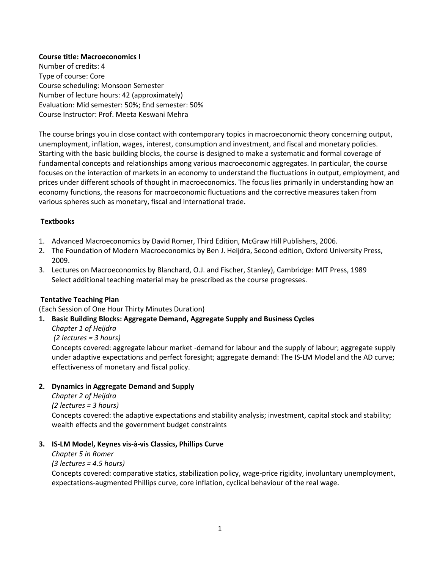## **Course title: Macroeconomics I**

Number of credits: 4 Type of course: Core Course scheduling: Monsoon Semester Number of lecture hours: 42 (approximately) Evaluation: Mid semester: 50%; End semester: 50% Course Instructor: Prof. Meeta Keswani Mehra

The course brings you in close contact with contemporary topics in macroeconomic theory concerning output, unemployment, inflation, wages, interest, consumption and investment, and fiscal and monetary policies. Starting with the basic building blocks, the course is designed to make a systematic and formal coverage of fundamental concepts and relationships among various macroeconomic aggregates. In particular, the course focuses on the interaction of markets in an economy to understand the fluctuations in output, employment, and prices under different schools of thought in macroeconomics. The focus lies primarily in understanding how an economy functions, the reasons for macroeconomic fluctuations and the corrective measures taken from various spheres such as monetary, fiscal and international trade.

## **Textbooks**

- 1. Advanced Macroeconomics by David Romer, Third Edition, McGraw Hill Publishers, 2006.
- 2. The Foundation of Modern Macroeconomics by Ben J. Heijdra, Second edition, Oxford University Press, 2009.
- 3. Lectures on Macroeconomics by Blanchard, O.J. and Fischer, Stanley), Cambridge: MIT Press, 1989 Select additional teaching material may be prescribed as the course progresses.

## **Tentative Teaching Plan**

(Each Session of One Hour Thirty Minutes Duration)

## **1. Basic Building Blocks: Aggregate Demand, Aggregate Supply and Business Cycles**

*Chapter 1 of Heijdra* 

 *(2 lectures = 3 hours)* 

Concepts covered: aggregate labour market -demand for labour and the supply of labour; aggregate supply under adaptive expectations and perfect foresight; aggregate demand: The IS-LM Model and the AD curve; effectiveness of monetary and fiscal policy.

## **2. Dynamics in Aggregate Demand and Supply**

*Chapter 2 of Heijdra* 

*(2 lectures = 3 hours)* 

Concepts covered: the adaptive expectations and stability analysis; investment, capital stock and stability; wealth effects and the government budget constraints

## **3. IS-LM Model, Keynes vis-à-vis Classics, Phillips Curve**

*Chapter 5 in Romer* 

#### *(3 lectures = 4.5 hours)*

Concepts covered: comparative statics, stabilization policy, wage-price rigidity, involuntary unemployment, expectations-augmented Phillips curve, core inflation, cyclical behaviour of the real wage.